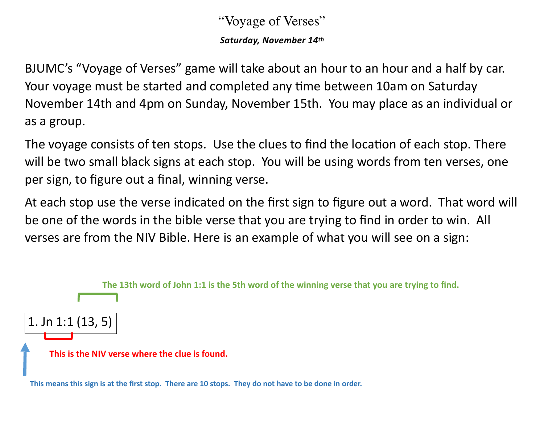## "Voyage of Verses"

*Saturday, November 14th*

BJUMC's "Voyage of Verses" game will take about an hour to an hour and a half by car. Your voyage must be started and completed any time between 10am on Saturday November 14th and 4pm on Sunday, November 15th. You may place as an individual or as a group.

The voyage consists of ten stops. Use the clues to find the location of each stop. There will be two small black signs at each stop. You will be using words from ten verses, one per sign, to figure out a final, winning verse.

At each stop use the verse indicated on the first sign to figure out a word. That word will be one of the words in the bible verse that you are trying to find in order to win. All verses are from the NIV Bible. Here is an example of what you will see on a sign:



**This means this sign is at the first stop. There are 10 stops. They do not have to be done in order.**